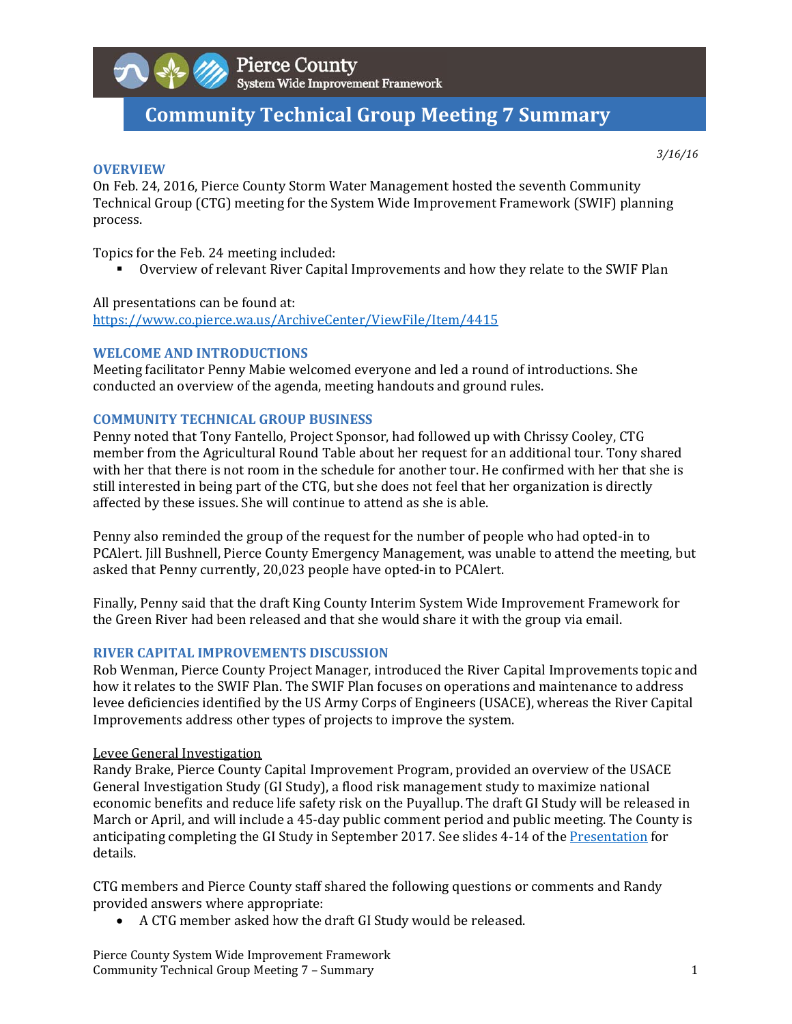

# **Community Technical Group Meeting 7 Summary**

*3/16/16*

# **OVERVIEW**

On Feb. 24, 2016, Pierce County Storm Water Management hosted the seventh Community Technical Group (CTG) meeting for the System Wide Improvement Framework (SWIF) planning process. 

Topics for the Feb. 24 meeting included:

■ Overview of relevant River Capital Improvements and how they relate to the SWIF Plan

All presentations can be found at:

https://www.co.pierce.wa.us/ArchiveCenter/ViewFile/Item/4415 

# **WELCOME AND INTRODUCTIONS**

Meeting facilitator Penny Mabie welcomed everyone and led a round of introductions. She conducted an overview of the agenda, meeting handouts and ground rules.

# **COMMUNITY TECHNICAL GROUP BUSINESS**

Penny noted that Tony Fantello, Project Sponsor, had followed up with Chrissy Cooley, CTG member from the Agricultural Round Table about her request for an additional tour. Tony shared with her that there is not room in the schedule for another tour. He confirmed with her that she is still interested in being part of the CTG, but she does not feel that her organization is directly affected by these issues. She will continue to attend as she is able.

Penny also reminded the group of the request for the number of people who had opted-in to PCAlert. Iill Bushnell, Pierce County Emergency Management, was unable to attend the meeting, but asked that Penny currently, 20,023 people have opted-in to PCAlert.

Finally, Penny said that the draft King County Interim System Wide Improvement Framework for the Green River had been released and that she would share it with the group via email.

# **RIVER CAPITAL IMPROVEMENTS DISCUSSION**

Rob Wenman, Pierce County Project Manager, introduced the River Capital Improvements topic and how it relates to the SWIF Plan. The SWIF Plan focuses on operations and maintenance to address levee deficiencies identified by the US Army Corps of Engineers (USACE), whereas the River Capital Improvements address other types of projects to improve the system.

### Levee General Investigation

Randy Brake, Pierce County Capital Improvement Program, provided an overview of the USACE General Investigation Study (GI Study), a flood risk management study to maximize national economic benefits and reduce life safety risk on the Puyallup. The draft GI Study will be released in March or April, and will include a 45-day public comment period and public meeting. The County is anticipating completing the GI Study in September 2017. See slides 4-14 of the Presentation for details. 

CTG members and Pierce County staff shared the following questions or comments and Randy provided answers where appropriate:

• A CTG member asked how the draft GI Study would be released.

Pierce County System Wide Improvement Framework Community Technical Group Meeting 7 – Summary **1** and the state of the state of the state of the state of the state of the state of the state of the state of the state of the state of the state of the state of the state of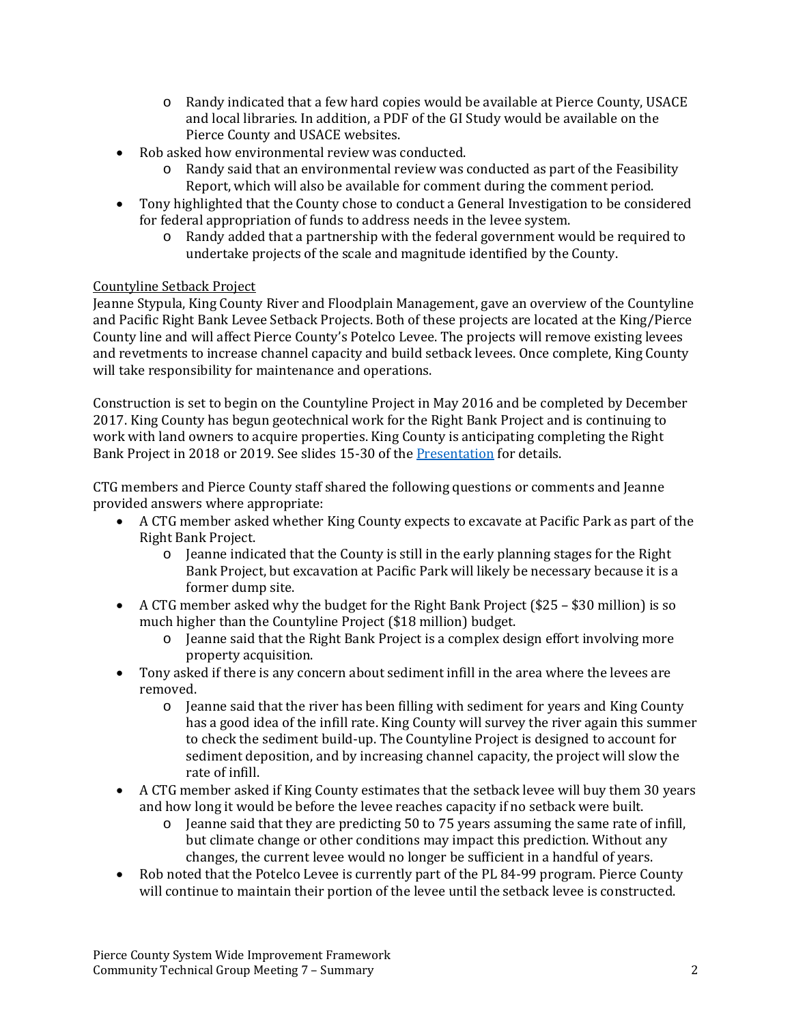- $\circ$  Randy indicated that a few hard copies would be available at Pierce County, USACE and local libraries. In addition, a PDF of the GI Study would be available on the Pierce County and USACE websites.
- Rob asked how environmental review was conducted.
	- $\circ$  Randy said that an environmental review was conducted as part of the Feasibility Report, which will also be available for comment during the comment period.
- Tony highlighted that the County chose to conduct a General Investigation to be considered for federal appropriation of funds to address needs in the levee system.
	- $\circ$  Randy added that a partnership with the federal government would be required to undertake projects of the scale and magnitude identified by the County.

# Countyline Setback Project

Jeanne Stypula, King County River and Floodplain Management, gave an overview of the Countyline and Pacific Right Bank Levee Setback Projects. Both of these projects are located at the King/Pierce County line and will affect Pierce County's Potelco Levee. The projects will remove existing levees and revetments to increase channel capacity and build setback levees. Once complete, King County will take responsibility for maintenance and operations.

Construction is set to begin on the Countyline Project in May 2016 and be completed by December 2017. King County has begun geotechnical work for the Right Bank Project and is continuing to work with land owners to acquire properties. King County is anticipating completing the Right Bank Project in 2018 or 2019. See slides 15-30 of the Presentation for details.

CTG members and Pierce County staff shared the following questions or comments and Jeanne provided answers where appropriate:

- A CTG member asked whether King County expects to excavate at Pacific Park as part of the Right Bank Project.
	- o Jeanne indicated that the County is still in the early planning stages for the Right Bank Project, but excavation at Pacific Park will likely be necessary because it is a former dump site.
- A CTG member asked why the budget for the Right Bank Project  $(\$25 \$30$  million) is so much higher than the Countyline Project (\$18 million) budget.
	- $\circ$  Jeanne said that the Right Bank Project is a complex design effort involving more property acquisition.
- Tony asked if there is any concern about sediment infill in the area where the levees are removed.
	- $\circ$  Jeanne said that the river has been filling with sediment for vears and King County has a good idea of the infill rate. King County will survey the river again this summer to check the sediment build-up. The Countyline Project is designed to account for sediment deposition, and by increasing channel capacity, the project will slow the rate of infill.
- A CTG member asked if King County estimates that the setback levee will buy them 30 years and how long it would be before the levee reaches capacity if no setback were built.
	- $\circ$  Jeanne said that they are predicting 50 to 75 years assuming the same rate of infill, but climate change or other conditions may impact this prediction. Without any changes, the current levee would no longer be sufficient in a handful of years.
- Rob noted that the Potelco Levee is currently part of the PL 84-99 program. Pierce County will continue to maintain their portion of the levee until the setback levee is constructed.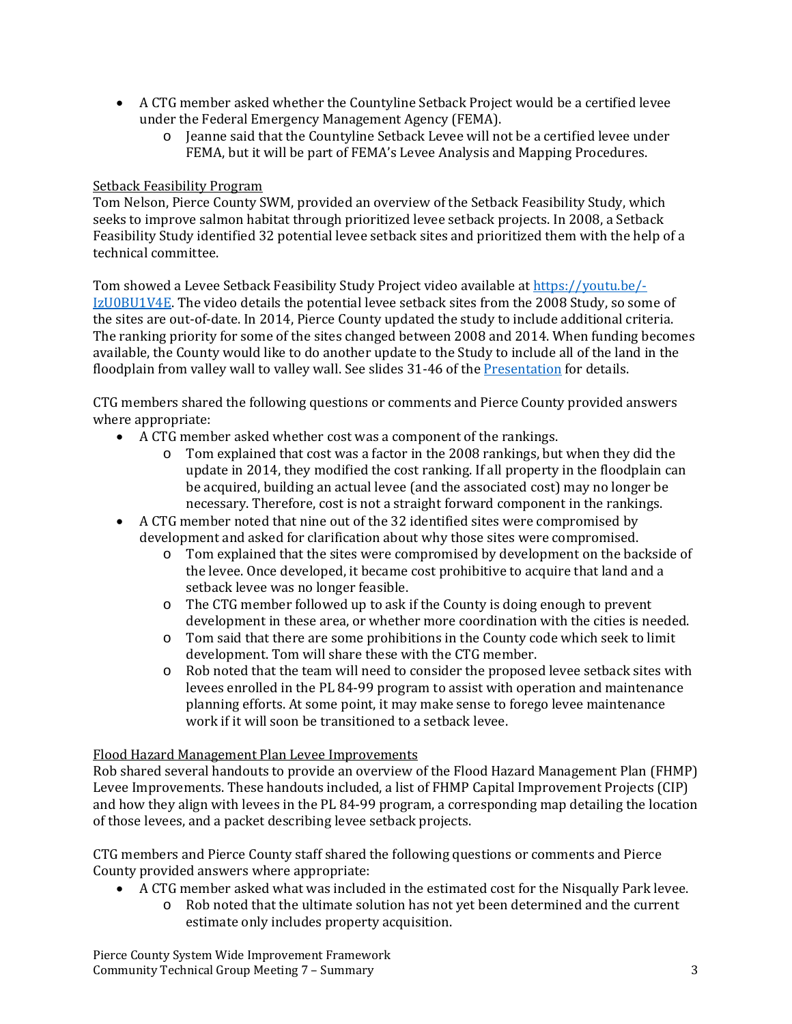- A CTG member asked whether the Countyline Setback Project would be a certified levee under the Federal Emergency Management Agency (FEMA).
	- $\circ$  Jeanne said that the Countyline Setback Levee will not be a certified levee under FEMA, but it will be part of FEMA's Levee Analysis and Mapping Procedures.

# Setback Feasibility Program

Tom Nelson, Pierce County SWM, provided an overview of the Setback Feasibility Study, which seeks to improve salmon habitat through prioritized levee setback projects. In 2008, a Setback Feasibility Study identified 32 potential levee setback sites and prioritized them with the help of a technical committee.

Tom showed a Levee Setback Feasibility Study Project video available at https://youtu.be/- $IzU0BU1V4E$ . The video details the potential levee setback sites from the 2008 Study, so some of the sites are out-of-date. In 2014, Pierce County updated the study to include additional criteria. The ranking priority for some of the sites changed between 2008 and 2014. When funding becomes available, the County would like to do another update to the Study to include all of the land in the floodplain from valley wall to valley wall. See slides 31-46 of the Presentation for details.

CTG members shared the following questions or comments and Pierce County provided answers where appropriate:

- $\bullet$  A CTG member asked whether cost was a component of the rankings.
	- $\circ$  Tom explained that cost was a factor in the 2008 rankings, but when they did the update in 2014, they modified the cost ranking. If all property in the floodplain can be acquired, building an actual levee (and the associated cost) may no longer be necessary. Therefore, cost is not a straight forward component in the rankings.
- A CTG member noted that nine out of the 32 identified sites were compromised by development and asked for clarification about why those sites were compromised.
	- o Tom explained that the sites were compromised by development on the backside of the levee. Once developed, it became cost prohibitive to acquire that land and a setback levee was no longer feasible.
	- $\circ$  The CTG member followed up to ask if the County is doing enough to prevent development in these area, or whether more coordination with the cities is needed.
	- $\circ$  Tom said that there are some prohibitions in the County code which seek to limit development. Tom will share these with the CTG member.
	- $\circ$  Rob noted that the team will need to consider the proposed levee setback sites with levees enrolled in the PL 84-99 program to assist with operation and maintenance planning efforts. At some point, it may make sense to forego levee maintenance work if it will soon be transitioned to a setback levee.

### Flood Hazard Management Plan Levee Improvements

Rob shared several handouts to provide an overview of the Flood Hazard Management Plan (FHMP) Levee Improvements. These handouts included, a list of FHMP Capital Improvement Projects (CIP) and how they align with levees in the PL 84-99 program, a corresponding map detailing the location of those levees, and a packet describing levee setback projects.

CTG members and Pierce County staff shared the following questions or comments and Pierce County provided answers where appropriate:

- A CTG member asked what was included in the estimated cost for the Nisqually Park levee.
	- $\circ$  Rob noted that the ultimate solution has not yet been determined and the current estimate only includes property acquisition.

Pierce County System Wide Improvement Framework Community Technical Group Meeting 7 – Summary **3** 3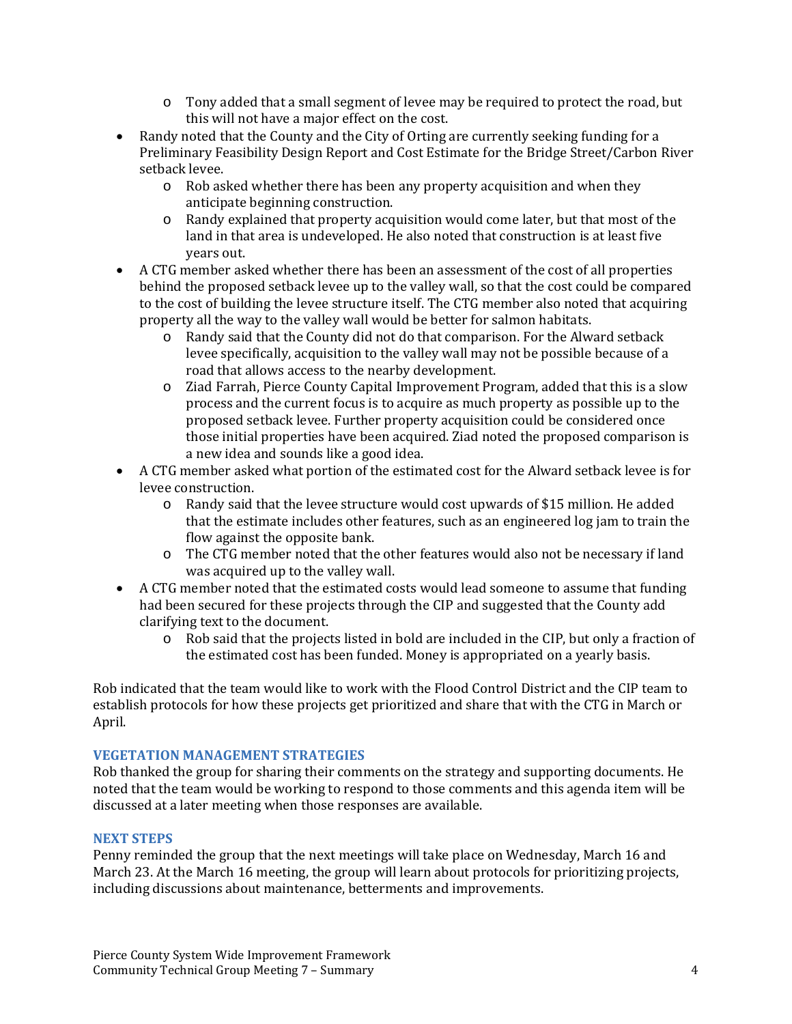- $\circ$  Tony added that a small segment of levee may be required to protect the road, but this will not have a major effect on the cost.
- Randy noted that the County and the City of Orting are currently seeking funding for a Preliminary Feasibility Design Report and Cost Estimate for the Bridge Street/Carbon River setback levee.
	- $\circ$  Rob asked whether there has been any property acquisition and when they anticipate beginning construction.
	- $\circ$  Randy explained that property acquisition would come later, but that most of the land in that area is undeveloped. He also noted that construction is at least five years out.
- A CTG member asked whether there has been an assessment of the cost of all properties behind the proposed setback levee up to the valley wall, so that the cost could be compared to the cost of building the levee structure itself. The CTG member also noted that acquiring property all the way to the valley wall would be better for salmon habitats.
	- $\circ$  Randy said that the County did not do that comparison. For the Alward setback levee specifically, acquisition to the valley wall may not be possible because of a road that allows access to the nearby development.
	- $\circ$  Ziad Farrah, Pierce County Capital Improvement Program, added that this is a slow process and the current focus is to acquire as much property as possible up to the proposed setback levee. Further property acquisition could be considered once those initial properties have been acquired. Ziad noted the proposed comparison is a new idea and sounds like a good idea.
- A CTG member asked what portion of the estimated cost for the Alward setback levee is for levee construction.
	- $\circ$  Randy said that the levee structure would cost upwards of \$15 million. He added that the estimate includes other features, such as an engineered log jam to train the flow against the opposite bank.
	- o The CTG member noted that the other features would also not be necessary if land was acquired up to the valley wall.
- A CTG member noted that the estimated costs would lead someone to assume that funding had been secured for these projects through the CIP and suggested that the County add clarifying text to the document.
	- $\circ$  Rob said that the projects listed in bold are included in the CIP, but only a fraction of the estimated cost has been funded. Money is appropriated on a yearly basis.

Rob indicated that the team would like to work with the Flood Control District and the CIP team to establish protocols for how these projects get prioritized and share that with the CTG in March or April. 

# **VEGETATION MANAGEMENT STRATEGIES**

Rob thanked the group for sharing their comments on the strategy and supporting documents. He noted that the team would be working to respond to those comments and this agenda item will be discussed at a later meeting when those responses are available.

# **NEXT STEPS**

Penny reminded the group that the next meetings will take place on Wednesday, March 16 and March 23. At the March 16 meeting, the group will learn about protocols for prioritizing projects, including discussions about maintenance, betterments and improvements.